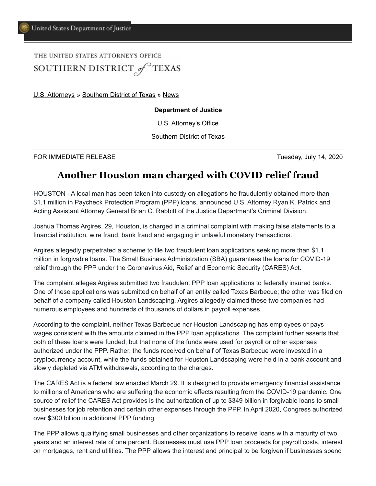## THE UNITED STATES ATTORNEY'S OFFICE SOUTHERN DISTRICT of TEXAS

[U.S. Attorneys](https://www.justice.gov/usao) » [Southern District of Texas](https://www.justice.gov/usao-sdtx) » [News](https://www.justice.gov/usao-sdtx/pr)

## **Department of Justice**

U.S. Attorney's Office

Southern District of Texas

FOR IMMEDIATE RELEASE Tuesday, July 14, 2020

## **Another Houston man charged with COVID relief fraud**

HOUSTON - A local man has been taken into custody on allegations he fraudulently obtained more than \$1.1 million in Paycheck Protection Program (PPP) loans, announced U.S. Attorney Ryan K. Patrick and Acting Assistant Attorney General Brian C. Rabbitt of the Justice Department's Criminal Division.

Joshua Thomas Argires, 29, Houston, is charged in a criminal complaint with making false statements to a financial institution, wire fraud, bank fraud and engaging in unlawful monetary transactions.

Argires allegedly perpetrated a scheme to file two fraudulent loan applications seeking more than \$1.1 million in forgivable loans. The Small Business Administration (SBA) guarantees the loans for COVID-19 relief through the PPP under the Coronavirus Aid, Relief and Economic Security (CARES) Act.

The complaint alleges Argires submitted two fraudulent PPP loan applications to federally insured banks. One of these applications was submitted on behalf of an entity called Texas Barbecue; the other was filed on behalf of a company called Houston Landscaping. Argires allegedly claimed these two companies had numerous employees and hundreds of thousands of dollars in payroll expenses.

According to the complaint, neither Texas Barbecue nor Houston Landscaping has employees or pays wages consistent with the amounts claimed in the PPP loan applications. The complaint further asserts that both of these loans were funded, but that none of the funds were used for payroll or other expenses authorized under the PPP. Rather, the funds received on behalf of Texas Barbecue were invested in a cryptocurrency account, while the funds obtained for Houston Landscaping were held in a bank account and slowly depleted via ATM withdrawals, according to the charges.

The CARES Act is a federal law enacted March 29. It is designed to provide emergency financial assistance to millions of Americans who are suffering the economic effects resulting from the COVID-19 pandemic. One source of relief the CARES Act provides is the authorization of up to \$349 billion in forgivable loans to small businesses for job retention and certain other expenses through the PPP. In April 2020, Congress authorized over \$300 billion in additional PPP funding.

The PPP allows qualifying small businesses and other organizations to receive loans with a maturity of two years and an interest rate of one percent. Businesses must use PPP loan proceeds for payroll costs, interest on mortgages, rent and utilities. The PPP allows the interest and principal to be forgiven if businesses spend